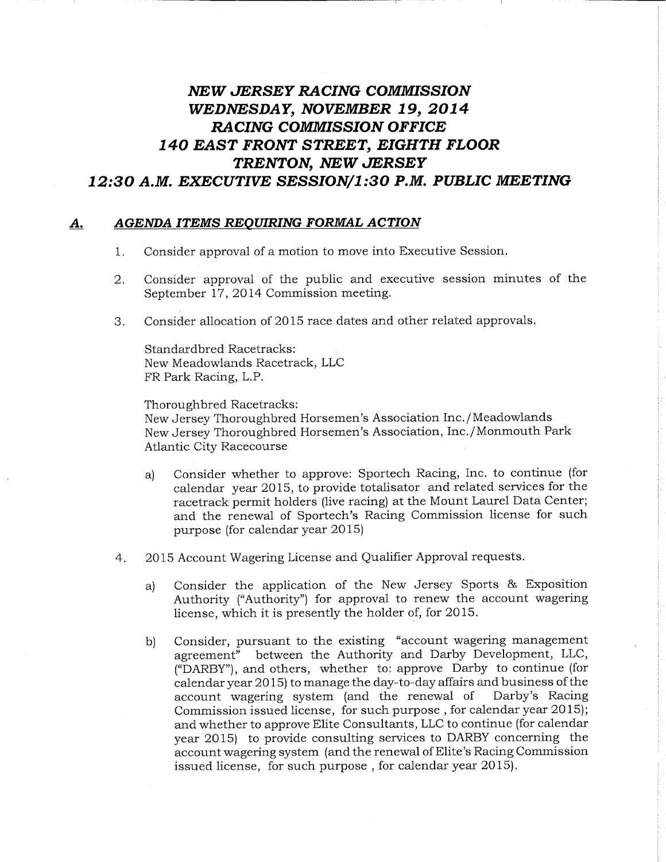# NEW JERSEY RACING COMMISSION WEDNESDAY, NOVEMBER 19, 2014 RACING COMMISSION OFFICE 140 EAST FRONT STREET, EIGHTH FLOOR TRENTON, NEW JERSEY 12:30 A.M. EXECUTIVE SESSION/1:30 P.M. PUBLIC MEETING

## A. AGENDA ITEMS REQUIRING FORMAL ACTION

- Consider approval of a motion to move into Executive Session. 1.
- 2. Consider approval of the public and executive session minutes of the September 17, 2014 Commission meeting.
- 3. Consider allocation of 2015 race dates and other related approvals.

Standardbred Racetracks: New Meadowlands Racetrack, LLC FR Park Racing, L.P.

Thoroughbred Racetracks: New Jersey Thoroughbred Horsemen's Association Inc./Meadowlands New Jersey Thoroughbred Horsemen's Association, Inc./Monmouth Park Atlantic City Racecourse

- a) Consider whether to approve. Sportech Racing, Inc. to continue (for calendar year 2015, to provide totalisator and related services for the racetrack permit holders (live racing) at the Mount Laurel Data Center; and the renewal of Sportech's Racing Commission license for such purpose (for calendar year 2015)
- 4. 2015 Account Wagering License and Qualifier Approval requests.
	- a) Consider the application of the New Jersey Sports & Exposition Authority ("Authority") for approval to renew the account wagering license, which it is presently the holder of, for 2015.
	- b) Consider, pursuant to the existing "account wagering management agreement" between the Authority and Darby Development, LLC, ("DARBY"), and others, whether to: approve Darby to continue (for calendar year 2015) to manage the day-to-day affairs and business of the account wagering system (and the renewal of Darby's Racing Commission issued license, for such purpose, for calendar year 2015); and whether to approve Elite Consultants, LLC to continue (for calendar year 2015) to provide consulting services to DARBY concerning the account wagering system (and the renewal of Elite's Racing Commission issued license, for such purpose, for calendar year 2015).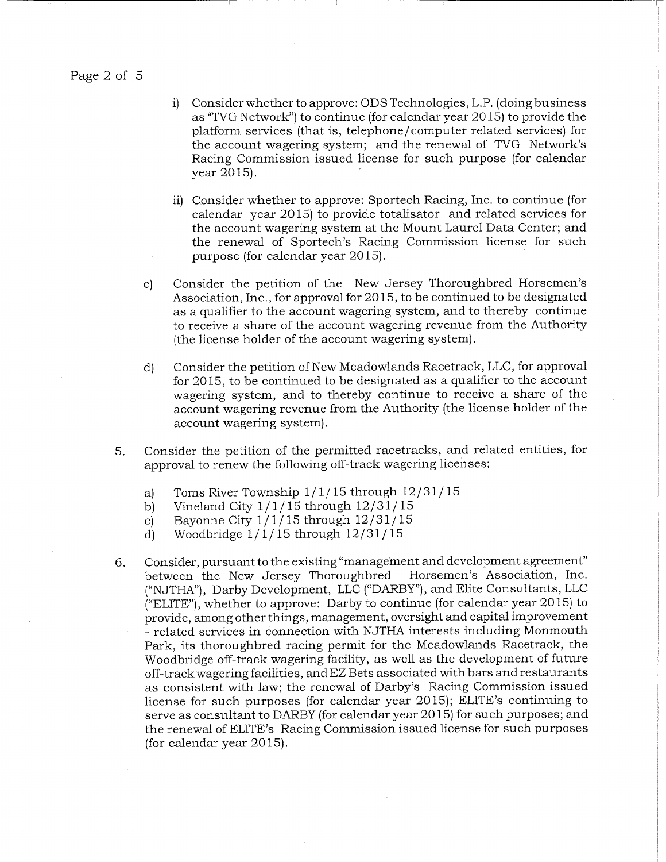Page 2 of 5

- i) Consider whether to approve: ODS Technologies, L.P. (doing business as "TVG Network") to continue (for calendar year 2015) to provide the platform services (that is, telephone/computer related services) for the account wagering system; and the renewal of TVG Network's Racing Commission issued license for such purpose (for calendar year 2015).
- ii) Consider whether to approve: Sportech Racing, Inc. to continue (for calendar year 2015) to provide totalisator and related services for the account wagering system at the Mount Laurel Data Center; and the renewal of Sportech's Racing Commission license for such purpose (for calendar year 2015).
- c) Consider the petition of the New Jersey Thoroughbred Horsemen's Association, Inc., for approval for 2015, to be continued to be designated as a qualifier to the account wagering system, and to thereby continue to receive a share of the account wagering revenue from the Authority (the license holder of the account wagering system).
- d) Consider the petition of New Meadowlands Racetrack, LLC, for approval for 2015, to be continued to be designated as a qualifier to the account wagering system, and to thereby continue to receive a share of the account wagering revenue from the Authority (the license holder of the account wagering system) .
- 5. Consider the petition of the permitted racetracks, and related entities, for approval to renew the following off-track wagering licenses:
	- a) Toms River Township  $1/1/15$  through  $12/31/15$
	- b) Vineland City  $1/1/15$  through  $12/31/15$
	- c) Bayonne City  $1/1/15$  through  $12/31/15$
	- d) Woodbridge  $1/1/15$  through  $12/31/15$
- 6. Consider, pursuant to the existing "management and development agreement" between the New Jersey Thoroughbred ("NJTHA"), Darby Development, LLC ("DARBY"), and Elite Consultants, LLC ("ELITE"), whether to approve: Darby to continue (for calendar year 2015) to provide, among other things, management, oversight and capital improvement - related services in connection with NJTHA interests including Monmouth Park, its thoroughbred racing permit for the Meadowlands Racetrack, the Woodbridge off-track wagering facility, as well as the development of future off-track wagering facilities, and EZ Bets associated with bars and restaurants as consistent with law; the renewal of Darby's Racing Commission issued license for such purposes (for calendar year 2015); ELITE's continuing to serve as consultant to DARBY (for calendar year 2015) for such purposes; and the renewal of ELITE's Racing Commission issued license for such purposes (for calendar year 2015).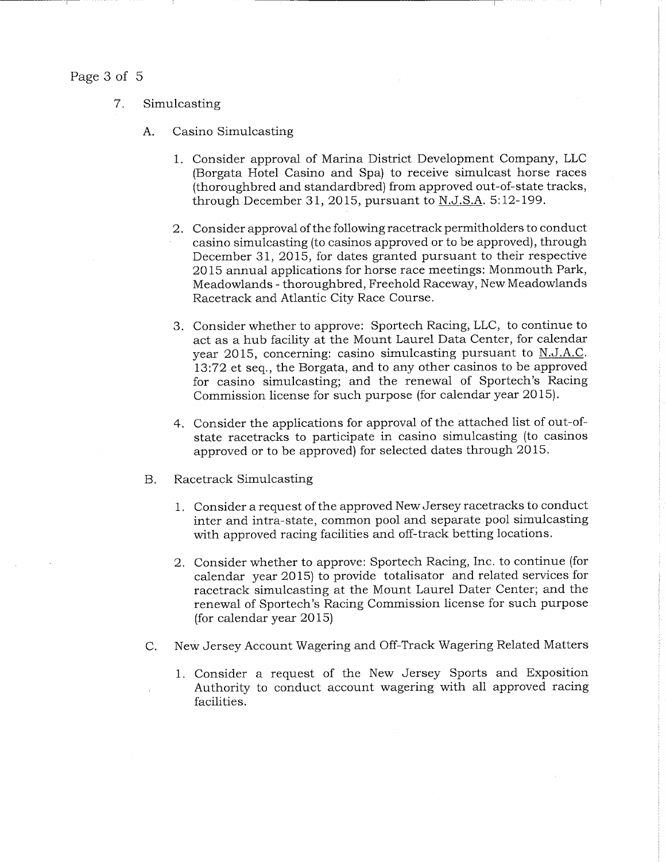### Page 3 of 5

- 7. Simulcasting
	- A. Casino Simulcasting
		- 1. Consider approval of Marina District Development Company, LLC (Borgata Hotel Casino and Spa) to receive simulcast horse races (thoroughbred and standardbred) from approved out-of-state tracks, through December 31, 2015, pursuant to  $N.J.S.A.$  5:12-199.
		- 2. Consider approval of the following racetrack permitholders to conduct casino simulcasting (to casinos approved or to be approved), through December 31, 2015, for dates granted pursuant to their respective 2015 annual applications for horse race meetings: Monmouth Park, Meadowlands - thoroughbred, Freehold Raceway, New Meadowlands Racetrack and Atlantic City Race Course.
		- 3. Consider whether to approve: Sportech Racing, LLC, to continue to act as a hub facility at the Mount Laurel Data Center, for calendar year 2015, concerning: casino simulcasting pursuant to N.J.A.C. 13:72 et seq., the Borgata, and to any other casinos to be approved for casino simulcasting; and the renewal of Sportech's Racing Commission license for such purpose (for calendar year 2015).
		- 4. Consider the applications for approval of the attached list of out-ofstate racetracks to participate in casino simulcasting (to casinos approved or to be approved) for selected dates through 2015.
	- B. Racetrack Simulcasting
		- 1. Consider a request of the approved New Jersey racetracks to conduct inter and intra-state, common pool and separate pool simulcasting with approved racing facilities and off-track betting locations.
		- 2. Consider whether to approve: Sportech Racing, Inc, to continue (for calendar year 2015) to provide totalisator and related services for racetrack simulcasting at the Mount Laurel Dater Center; and the renewal of Sportech's Racing Commission license for such purpose (for calendar year 2015)
	- C. New Jersey Account Wagering and Off-Track Wagering Related Matters
		- 1. Consider a request of the New Jersey Sports and Exposition Authority to conduct account wagering with all approved racing facilities.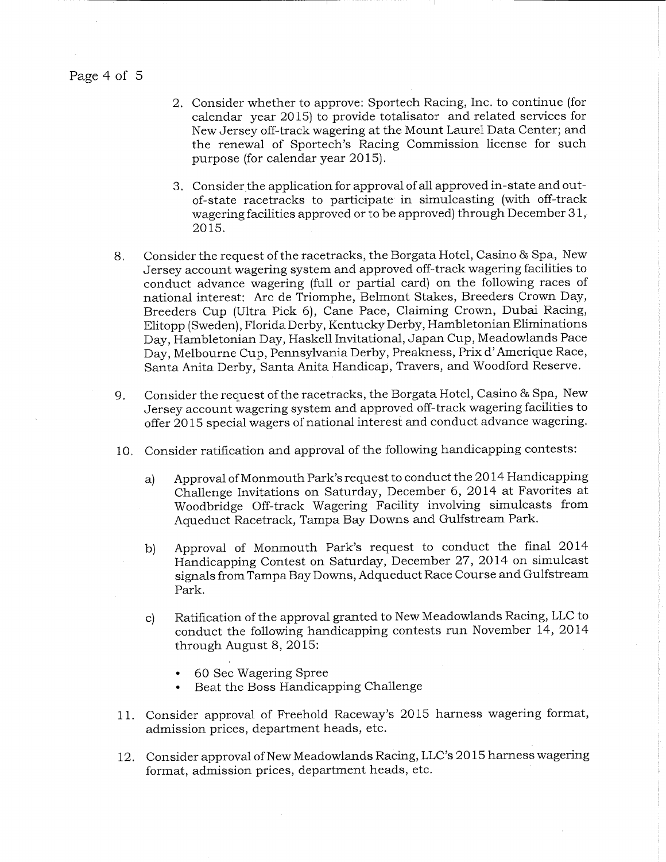Page 4 of 5

- 2. Consider whether to approve: Sportech Racing, Inc. to continue (for calendar year 2015) to provide totalisator and related services for New Jersey off-track wagering at the Mount Laurel Data Center; and the renewal of Sportech's Racing Commission license for such purpose (for calendar year 2015).
- 3. Consider the application for approval of all approved in-state and outof-state racetracks to participate in simulcasting (with off-track wagering facilities approved or to be approved) through December 31, 2015.
- 8. Consider the request of the racetracks, the Borgata Hotel, Casino & Spa, New Jersey account wagering system and approved off-track wagering facilities to conduct advance wagering (full or partial card) on the following races of national interest: Arc de Triomphe, Belmont Stakes, Breeders Crown Day, Breeders Cup (Ultra Pick 6), Cane Pace, Claiming Crown, Dubai Racing, Elitopp (Sweden), Florida Derby, Kentucky Derby, Hambletonian Eliminations Day, Hambletonian Day, Haskell Invitational, Japan Cup, Meadowlands Pace Day, Melbourne Cup, Pennsylvania Derby, Preakness, Prix d' Amerique Race, Santa Anita Derby, Santa Anita Handicap, Travers, and Woodford Reserve.
- 9. Consider the request of the racetracks, the Borgata Hotel, Casino & Spa, New Jersey account wagering system and approved off-track wagering facilities to offer 2015 special wagers of national interest and conduct advance wagering.
- 10. Consider ratification and approval of the following handicapping contests:
	- a) Approval of Monmouth Park's request to conduct the 2014 Handicapping Challenge Invitations on Saturday, December 6, 2014 at Favorites at Woodbridge Off-track Wagering Facility involving simulcasts from Aqueduct Racetrack, Tampa Bay Downs and Gulfstream Park.
	- b) Approval of Monmouth Park's request to conduct the final 2014 Handicapping Contest on Saturday, December 27, 2014 on simulcast signals from Tampa Bay Downs, Adqueduct Race Course and Gulfstream Park.
	- c) Ratification of the approval granted to New Meadowlands Racing, LLC to conduct the following handicapping contests run November 14, 2014 through August 8, 2015:
		- 60 Sec Wagering Spree
		- Beat the Boss Handicapping Challenge
- 11. Consider approval of Freehold Raceway's 2015 harness wagering format, admission prices, department heads, etc.
- 12. Consider approval of New Meadowlands Racing, LLC's 2015 harness wagering format, admission prices, department heads, etc.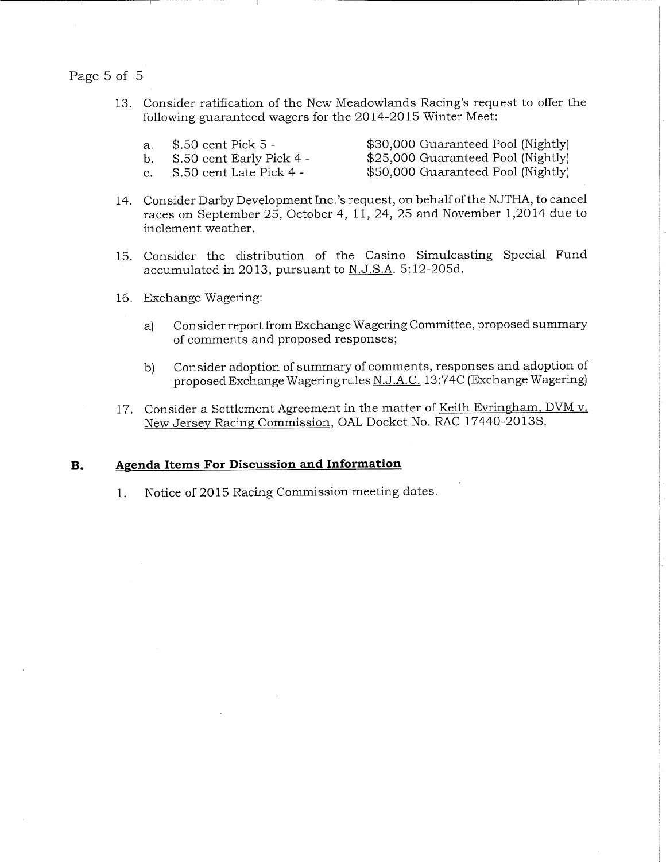# Page 5 of 5

- 13. Consider ratification of the New Meadowlands Racing's request to offer the following guaranteed wagers for the 2014-2015 Winter Meet:
	- a. \$.50 cent Pick 5 -

X30,000 Guaranteed Pool (Nightly) X25,000 Guaranteed Pool (Nightly)

b.  $$.50$  cent Early Pick 4 c.  $$.50$  cent Late Pick 4 -

X50,000 Guaranteed Pool (Nightly)

- 14. Consider Darby Development Inc.'s request, on behalf of the NJTHA, to cancel races on September 25, October 4, 11, 24, 25 and November 1,2014 due to inclement weather.
- 15. Consider the distribution of the Casino Simulcasting Special Fund accumulated in 2013, pursuant to N.J.S.A. 5:12-205d.
- 16. Exchange Wagering:
	- a) Consider report from Exchange Wagering Committee, proposed summary of comments and proposed responses;
	- b) Consider adoption of summary of comments, responses and adoption of proposed Exchange Wagering rules N.J.A.C. 13:74C (Exchange Wagering)
- 17. Consider a Settlement Agreement in the matter of Keith Evringham, DVM v. New Jersey Racing Commission, OAL Docket No. RAC 17440-20135.

#### B. Agenda Items For Discussion and Information

1. Notice of 2015 Racing Commission meeting dates.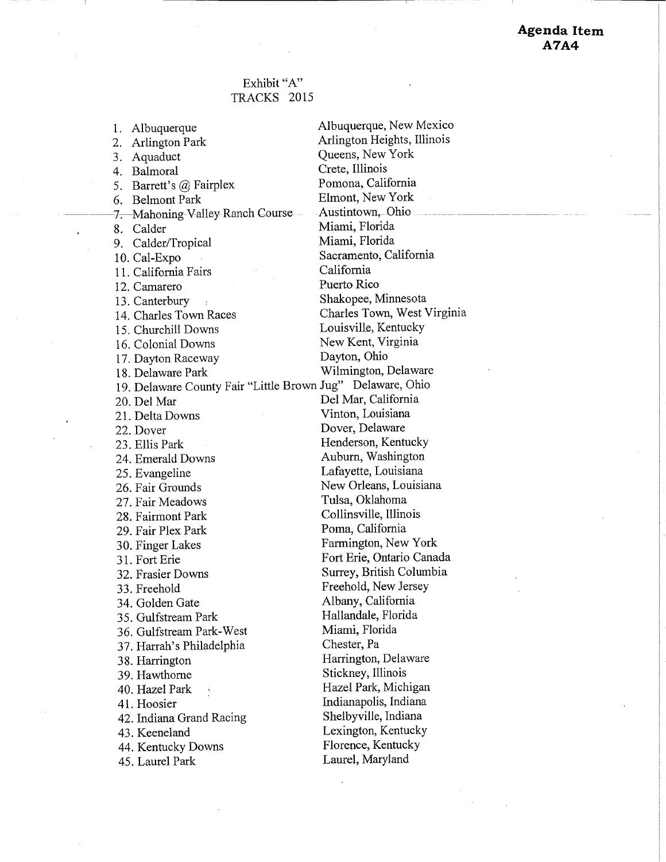# Exhibit "A" TRACKS 2015

2. Arlington Park Arlington Heights, Illinois 3. Aquaduct Queens, New York<br>4. Balmoral Crete, Illinois 4. Balmoral Crete, Illinois<br>
5 Barrett's @ Fairplex Pomona, California 5. Barrett's @ Fairplex Pomona, California<br>6 Relmont Park Blmont, New York 6. Belmont Park 7. Mahoning Valley Ranch Course--- Austintown, Ohio 8. Calder Miami, Florida 9. Calder/Tropical Miami, Florida 10. Cal-Expo Sacramento, California<br>
11 California Fairs<br>
California<br>
California 11. California Fairs 12. Camarero Puerto Rico 13. Canterbury Shakopee, Minnesota 14. Charles Town Races Charles Town, West Virginia 15. Churchill Downs Louisville, Kentucky 16. Colonial Downs New Kent, Virginia 17. Dayton Raceway Dayton, Ohio 18. Delaware Park Wilmington, Delaware 19. Delaware County Fair "Little Brown Jug" Delaware, Ohio 20. Del Mar Del Mar, California 21. Delta Downs Vinton, Louisiana 22. Dover Dover, Delaware 23. Ellis Park Henderson, Kentucky 24. Emerald Downs Auburn, Washington 25. Evangeline Lafayette, Louisiana 26. Fair Grounds New Orleans, Louisiana 27. Fair Meadows Tulsa, Oklahoma 28. Fairmont Park Collinsville, Illinois 29. Fair Plex Park Poma, California 30. Finger Lakes Farmington, New York 31. Fort Erie Fort Erie, Ontario Canada 32. Frasier Downs Surrey, British Columbia 33. Freehold Freehold, New Jersey 34. Golden Gate Albany, California 35. Gulfstream Park Hallandale, Florida 36. Gulfstream Park-West Miami, Florida 37. Harrah's Philadelphia Chester, Pa 38. Harrington **Harrington, Delaware**<br>39. Hawthorne **Stickney, Illinois** 39. Hawthorne 40. Hazel Park \* \* Hazel Park, Michigan 41. Hoosier **Indianapolis**, Indiana 42. Indiana Grand Racing Shelbyville, Indiana 43. Keeneland Lexington, Kentucky<br>44. Kentucky Downs Florence, Kentucky 44. Kentucky Downs Florence, Kentuck<br>45. Laurel Park Laurel, Maryland 45. Laurel Park

1. Albuquerque Albuquerque, New Mexico